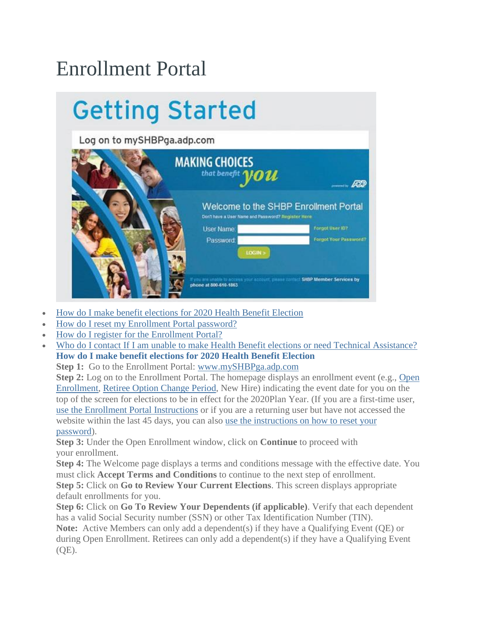## Enrollment Portal

## **Getting Started**

Log on to mySHBPga.adp.com

| <b>MAKING CHOICES</b><br>that benefit $\boldsymbol{\mathcal{W}}\boldsymbol{\mathcal{U}}\boldsymbol{\mathcal{U}}$ |                              |
|------------------------------------------------------------------------------------------------------------------|------------------------------|
| Welcome to the SHBP Enrollment Portal<br>Don't have a User Name and Password? Register Here-<br><b>User Name</b> | Forgot User ID?              |
| Password.<br>LOGIN >                                                                                             | <b>Forgot Your Password?</b> |
| If you are unable to access your account, please contact SHBP Member Services by<br>phone at 800-610-1863.       |                              |

- How do I make benefit [elections](https://shbp.georgia.gov/enrollment-portal#field_related_links-401-0) for 2020 Health Benefit Election
- How do I reset my [Enrollment](https://shbp.georgia.gov/enrollment-portal#field_related_links-401-1) Portal password?
- How do I register for the [Enrollment](https://shbp.georgia.gov/enrollment-portal#field_related_links-401-2) Portal?
- Who do I contact If I am unable to make Health Benefit elections or need Technical [Assistance?](https://shbp.georgia.gov/enrollment-portal#field_related_links-401-3) **How do I make benefit elections for 2020 Health Benefit Election**

**Step 1:** Go to the Enrollment Portal: [www.mySHBPga.adp.com](http://www.myshbpga.adp.com/)

**Step 2:** Log on to the Enrollment Portal. The homepage displays an enrollment event (e.g., [Open](https://shbp.georgia.gov/active-open-enrollment) [Enrollment,](https://shbp.georgia.gov/active-open-enrollment) Retiree Option [Change](https://shbp.georgia.gov/retiree-option-change-period) Period, New Hire) indicating the event date for you on the top of the screen for elections to be in effect for the 2020Plan Year. (If you are a first-time user, use the Enrollment Portal [Instructions](https://shbp.georgia.gov/enrollment-portal#field_related_links-401-2) or if you are a returning user but have not accessed the website within the last 45 days, you can also use the [instructions](https://shbp.georgia.gov/enrollment-portal#field_related_links-401-1) on how to reset your [password\)](https://shbp.georgia.gov/enrollment-portal#field_related_links-401-1).

**Step 3:** Under the Open Enrollment window, click on **Continue** to proceed with your enrollment.

**Step 4:** The Welcome page displays a terms and conditions message with the effective date. You must click **Accept Terms and Conditions** to continue to the next step of enrollment. **Step 5:** Click on **Go to Review Your Current Elections**. This screen displays appropriate default enrollments for you.

**Step 6:** Click on **Go To Review Your Dependents (if applicable)**. Verify that each dependent has a valid Social Security number (SSN) or other Tax Identification Number (TIN). **Note:** Active Members can only add a dependent(s) if they have a Qualifying Event (QE) or during Open Enrollment. Retirees can only add a dependent(s) if they have a Qualifying Event (QE).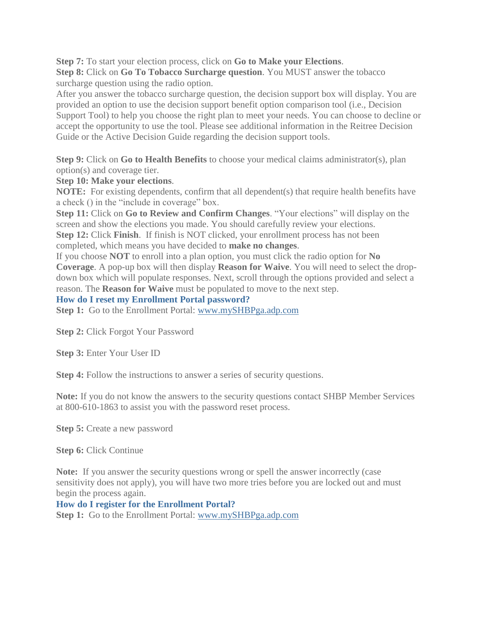**Step 7:** To start your election process, click on **Go to Make your Elections**.

**Step 8:** Click on **Go To Tobacco Surcharge question**. You MUST answer the tobacco surcharge question using the radio option.

After you answer the tobacco surcharge question, the decision support box will display. You are provided an option to use the decision support benefit option comparison tool (i.e., Decision Support Tool) to help you choose the right plan to meet your needs. You can choose to decline or accept the opportunity to use the tool. Please see additional information in the Reitree Decision Guide or the Active Decision Guide regarding the decision support tools.

**Step 9:** Click on **Go to Health Benefits** to choose your medical claims administrator(s), plan option(s) and coverage tier.

**Step 10: Make your elections**.

**NOTE:** For existing dependents, confirm that all dependent(s) that require health benefits have a check () in the "include in coverage" box.

**Step 11:** Click on **Go to Review and Confirm Changes**. "Your elections" will display on the screen and show the elections you made. You should carefully review your elections. **Step 12:** Click **Finish**. If finish is NOT clicked, your enrollment process has not been

completed, which means you have decided to **make no changes**.

If you choose **NOT** to enroll into a plan option, you must click the radio option for **No Coverage**. A pop-up box will then display **Reason for Waive**. You will need to select the dropdown box which will populate responses. Next, scroll through the options provided and select a reason. The **Reason for Waive** must be populated to move to the next step.

**How do I reset my Enrollment Portal password?**

**Step 1:** Go to the Enrollment Portal: [www.mySHBPga.adp.com](http://www.myshbpga.adp.com/)

**Step 2:** Click Forgot Your Password

**Step 3:** Enter Your User ID

**Step 4:** Follow the instructions to answer a series of security questions.

**Note:** If you do not know the answers to the security questions contact SHBP Member Services at 800-610-1863 to assist you with the password reset process.

**Step 5:** Create a new password

**Step 6:** Click Continue

**Note:** If you answer the security questions wrong or spell the answer incorrectly (case sensitivity does not apply), you will have two more tries before you are locked out and must begin the process again.

**How do I register for the Enrollment Portal?**

**Step 1:** Go to the Enrollment Portal: [www.mySHBPga.adp.com](http://www.myshbpga.adp.com/)